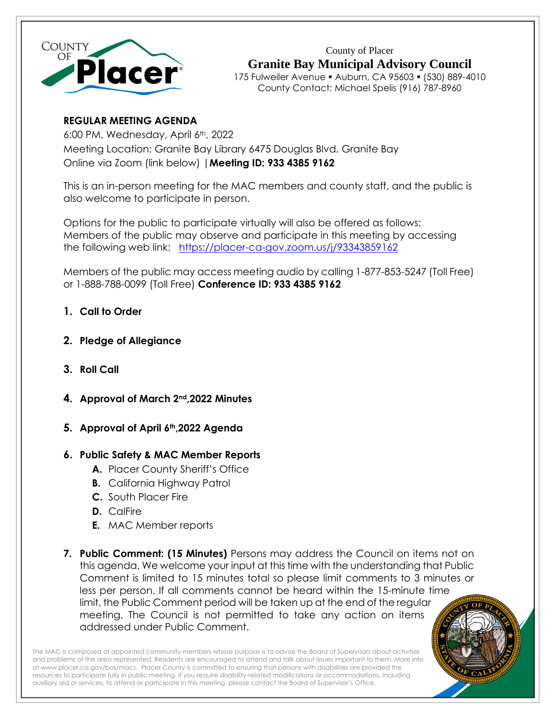

County of Placer **Granite Bay Municipal Advisory Council** 175 Fulweiler Avenue ▪ Auburn, CA 95603 ▪ (530) 889-4010 County Contact: Michael Spelis (916) 787-8960

# **REGULAR MEETING AGENDA**

6:00 PM, Wednesday, April 6th, 2022 Meeting Location: Granite Bay Library 6475 Douglas Blvd. Granite Bay Online via Zoom (link below) |**Meeting ID: 933 4385 9162**

This is an in-person meeting for the MAC members and county staff, and the public is also welcome to participate in person.

Options for the public to participate virtually will also be offered as follows: Members of the public may observe and participate in this meeting by accessing the following web link: <https://placer-ca-gov.zoom.us/j/93343859162>

Members of the public may access meeting audio by calling 1-877-853-5247 (Toll Free) or 1-888-788-0099 (Toll Free) **Conference ID: 933 4385 9162**

- **1. Call to Order**
- **2. Pledge of Allegiance**
- **3. Roll Call**
- **4. Approval of March 2nd,2022 Minutes**
- **5. Approval of April 6th,2022 Agenda**

## **6. Public Safety & MAC Member Reports**

- **A.** Placer County Sheriff's Office
- **B.** California Highway Patrol
- **C.** South Placer Fire
- **D.** CalFire
- **E.** MAC Member reports
- **7. Public Comment: (15 Minutes)** Persons may address the Council on items not on this agenda. We welcome your input at this time with the understanding that Public Comment is limited to 15 minutes total so please limit comments to 3 minutes or less per person. If all comments cannot be heard within the 15-minute time limit, the Public Comment period will be taken up at the end of the regular meeting. The Council is not permitted to take any action on items addressed under Public Comment.

The MAC is composed of appointed community members whose purpose is to advise the Board of Supervisors about activities and problems of the area represented. Residents are encouraged to attend and talk about issues important to them. More info a[t www.placer.ca.gov/bos/macs.](http://www.placer.ca.gov/bos/macs) Placer County is committed to ensuring that persons with disabilities are provided the resources to participate fully in public meeting. If you require disability-related modifications or accommodations, including auxiliary aid or services, to attend or participate in this meeting, please contact the Board of Supervisor's Office.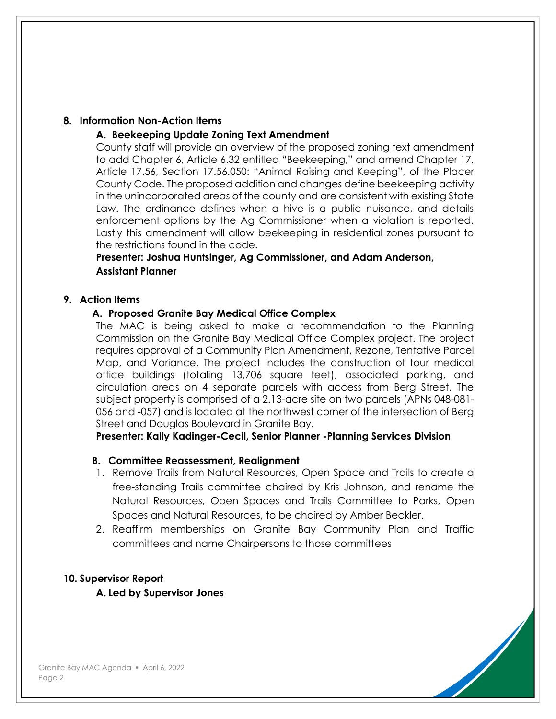### **8. Information Non-Action Items**

### **A. Beekeeping Update Zoning Text Amendment**

County staff will provide an overview of the proposed zoning text amendment to add Chapter 6, Article 6.32 entitled "Beekeeping," and amend Chapter 17, Article 17.56, Section 17.56.050: "Animal Raising and Keeping", of the Placer County Code. The proposed addition and changes define beekeeping activity in the unincorporated areas of the county and are consistent with existing State Law. The ordinance defines when a hive is a public nuisance, and details enforcement options by the Ag Commissioner when a violation is reported. Lastly this amendment will allow beekeeping in residential zones pursuant to the restrictions found in the code.

## **Presenter: Joshua Huntsinger, Ag Commissioner, and Adam Anderson, Assistant Planner**

### **9. Action Items**

### **A. Proposed Granite Bay Medical Office Complex**

The MAC is being asked to make a recommendation to the Planning Commission on the Granite Bay Medical Office Complex project. The project requires approval of a Community Plan Amendment, Rezone, Tentative Parcel Map, and Variance. The project includes the construction of four medical office buildings (totaling 13,706 square feet), associated parking, and circulation areas on 4 separate parcels with access from Berg Street. The subject property is comprised of a 2.13-acre site on two parcels (APNs 048-081- 056 and -057) and is located at the northwest corner of the intersection of Berg Street and Douglas Boulevard in Granite Bay.

**Presenter: Kally Kadinger-Cecil, Senior Planner -Planning Services Division**

#### **B. Committee Reassessment, Realignment**

- 1. Remove Trails from Natural Resources, Open Space and Trails to create a free-standing Trails committee chaired by Kris Johnson, and rename the Natural Resources, Open Spaces and Trails Committee to Parks, Open Spaces and Natural Resources, to be chaired by Amber Beckler.
- 2. Reaffirm memberships on Granite Bay Community Plan and Traffic committees and name Chairpersons to those committees

## **10. Supervisor Report**

#### **A. Led by Supervisor Jones**